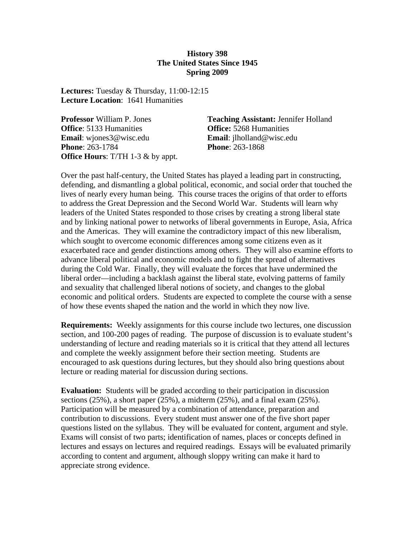#### **History 398 The United States Since 1945 Spring 2009**

**Lectures:** Tuesday & Thursday, 11:00-12:15 **Lecture Location**: 1641 Humanities

**Office**: 5133 Humanities **Office: 5268 Humanities Email**: wjones3@wisc.edu **Email**: jlholland@wisc.edu **Phone**: 263-1784 **Phone**: 263-1868 **Office Hours**: T/TH 1-3 & by appt.

**Professor** William P. Jones **Teaching Assistant:** Jennifer Holland

Over the past half-century, the United States has played a leading part in constructing, defending, and dismantling a global political, economic, and social order that touched the lives of nearly every human being. This course traces the origins of that order to efforts to address the Great Depression and the Second World War. Students will learn why leaders of the United States responded to those crises by creating a strong liberal state and by linking national power to networks of liberal governments in Europe, Asia, Africa and the Americas. They will examine the contradictory impact of this new liberalism, which sought to overcome economic differences among some citizens even as it exacerbated race and gender distinctions among others. They will also examine efforts to advance liberal political and economic models and to fight the spread of alternatives during the Cold War. Finally, they will evaluate the forces that have undermined the liberal order—including a backlash against the liberal state, evolving patterns of family and sexuality that challenged liberal notions of society, and changes to the global economic and political orders. Students are expected to complete the course with a sense of how these events shaped the nation and the world in which they now live.

**Requirements:** Weekly assignments for this course include two lectures, one discussion section, and 100-200 pages of reading. The purpose of discussion is to evaluate student's understanding of lecture and reading materials so it is critical that they attend all lectures and complete the weekly assignment before their section meeting. Students are encouraged to ask questions during lectures, but they should also bring questions about lecture or reading material for discussion during sections.

**Evaluation:** Students will be graded according to their participation in discussion sections  $(25\%)$ , a short paper  $(25\%)$ , a midterm  $(25\%)$ , and a final exam  $(25\%)$ . Participation will be measured by a combination of attendance, preparation and contribution to discussions. Every student must answer one of the five short paper questions listed on the syllabus. They will be evaluated for content, argument and style. Exams will consist of two parts; identification of names, places or concepts defined in lectures and essays on lectures and required readings. Essays will be evaluated primarily according to content and argument, although sloppy writing can make it hard to appreciate strong evidence.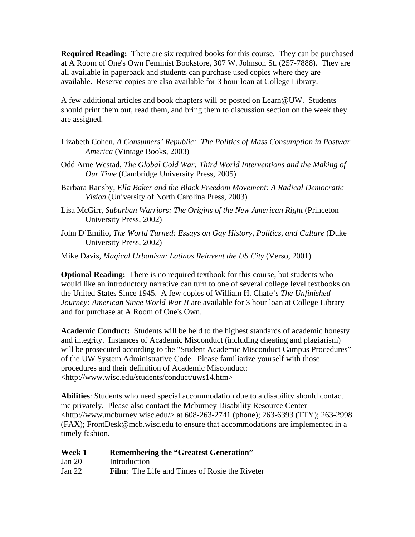**Required Reading:** There are six required books for this course. They can be purchased at A Room of One's Own Feminist Bookstore, 307 W. Johnson St. (257-7888). They are all available in paperback and students can purchase used copies where they are available. Reserve copies are also available for 3 hour loan at College Library.

A few additional articles and book chapters will be posted on Learn@UW. Students should print them out, read them, and bring them to discussion section on the week they are assigned.

- Lizabeth Cohen, *A Consumers' Republic: The Politics of Mass Consumption in Postwar America* (Vintage Books, 2003)
- Odd Arne Westad, *The Global Cold War: Third World Interventions and the Making of Our Time* (Cambridge University Press, 2005)
- Barbara Ransby, *Ella Baker and the Black Freedom Movement: A Radical Democratic Vision* (University of North Carolina Press, 2003)
- Lisa McGirr, *Suburban Warriors: The Origins of the New American Right* (Princeton University Press, 2002)
- John D'Emilio, *The World Turned: Essays on Gay History, Politics, and Culture* (Duke University Press, 2002)
- Mike Davis, *Magical Urbanism: Latinos Reinvent the US City* (Verso, 2001)

**Optional Reading:** There is no required textbook for this course, but students who would like an introductory narrative can turn to one of several college level textbooks on the United States Since 1945. A few copies of William H. Chafe's *The Unfinished Journey: American Since World War II* are available for 3 hour loan at College Library and for purchase at A Room of One's Own.

**Academic Conduct:** Students will be held to the highest standards of academic honesty and integrity. Instances of Academic Misconduct (including cheating and plagiarism) will be prosecuted according to the "Student Academic Misconduct Campus Procedures" of the UW System Administrative Code. Please familiarize yourself with those procedures and their definition of Academic Misconduct: <http://www.wisc.edu/students/conduct/uws14.htm>

**Abilities**: Students who need special accommodation due to a disability should contact me privately. Please also contact the Mcburney Disability Resource Center <http://www.mcburney.wisc.edu/> at 608-263-2741 (phone); 263-6393 (TTY); 263-2998 (FAX); FrontDesk@mcb.wisc.edu to ensure that accommodations are implemented in a timely fashion.

| Week 1   | <b>Remembering the "Greatest Generation"</b>         |
|----------|------------------------------------------------------|
| Jan 20   | Introduction                                         |
| Jan $22$ | <b>Film:</b> The Life and Times of Rosie the Riveter |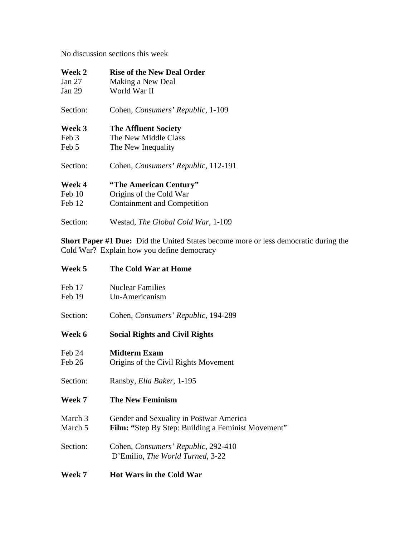No discussion sections this week

| Week 2   | <b>Rise of the New Deal Order</b>   |
|----------|-------------------------------------|
| Jan $27$ | Making a New Deal                   |
| Jan 29   | World War II                        |
| Section: | Cohen, Consumers' Republic, 1-109   |
| Week 3   | <b>The Affluent Society</b>         |
| Feb 3    | The New Middle Class                |
| Feb 5    | The New Inequality                  |
| Section: | Cohen, Consumers' Republic, 112-191 |
| Week 4   | "The American Century"              |
| Feb 10   | Origins of the Cold War             |
| Feb 12   | Containment and Competition         |
| Section: | Westad, The Global Cold War, 1-109  |

**Short Paper #1 Due:** Did the United States become more or less democratic during the Cold War? Explain how you define democracy

| Week 5   | <b>The Cold War at Home</b>                               |
|----------|-----------------------------------------------------------|
| Feb 17   | <b>Nuclear Families</b>                                   |
| Feb 19   | Un-Americanism                                            |
| Section: | Cohen, Consumers' Republic, 194-289                       |
| Week 6   | <b>Social Rights and Civil Rights</b>                     |
| Feb 24   | <b>Midterm Exam</b>                                       |
| Feb 26   | Origins of the Civil Rights Movement                      |
| Section: | Ransby, <i>Ella Baker</i> , 1-195                         |
| Week 7   | <b>The New Feminism</b>                                   |
| March 3  | Gender and Sexuality in Postwar America                   |
| March 5  | <b>Film: "Step By Step: Building a Feminist Movement"</b> |
| Section: | Cohen, Consumers' Republic, 292-410                       |
|          | D'Emilio, The World Turned, 3-22                          |
| Week 7   | <b>Hot Wars in the Cold War</b>                           |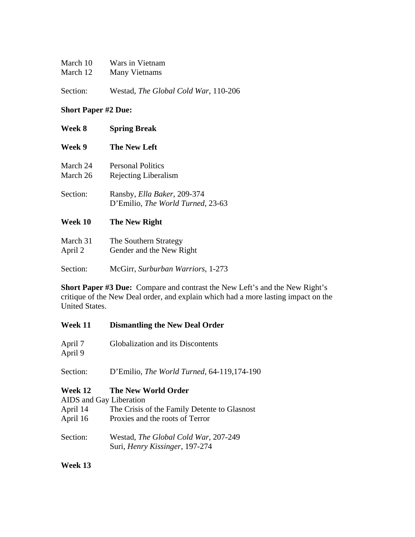| March 10 | Wars in Vietnam |
|----------|-----------------|
| March 12 | Many Vietnams   |
|          |                 |

Section: Westad, *The Global Cold War*, 110-206

# **Short Paper #2 Due:**

| <b>Week 8</b>        | <b>Spring Break</b>                                                      |
|----------------------|--------------------------------------------------------------------------|
| Week 9               | <b>The New Left</b>                                                      |
| March 24<br>March 26 | <b>Personal Politics</b><br>Rejecting Liberalism                         |
| Section:             | Ransby, <i>Ella Baker</i> , 209-374<br>D'Emilio, The World Turned, 23-63 |
| Week 10              | The New Right                                                            |
| March 31<br>April 2  | The Southern Strategy<br>Gender and the New Right                        |

Section: McGirr, *Surburban Warriors*, 1-273

**Short Paper #3 Due:** Compare and contrast the New Left's and the New Right's critique of the New Deal order, and explain which had a more lasting impact on the United States.

| <b>Week 11</b>                                             | <b>Dismantling the New Deal Order</b>                                                                  |
|------------------------------------------------------------|--------------------------------------------------------------------------------------------------------|
| April 7<br>April 9                                         | Globalization and its Discontents                                                                      |
| Section:                                                   | D'Emilio, The World Turned, 64-119,174-190                                                             |
| Week 12<br>AIDS and Gay Liberation<br>April 14<br>April 16 | The New World Order<br>The Crisis of the Family Detente to Glasnost<br>Proxies and the roots of Terror |
| Section:                                                   | Westad, The Global Cold War, 207-249<br>Suri, Henry Kissinger, 197-274                                 |

**Week 13**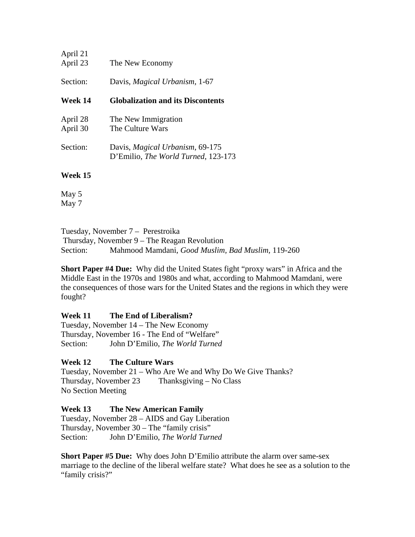| April 21<br>April 23 | The New Economy                                                        |
|----------------------|------------------------------------------------------------------------|
| Section:             | Davis, Magical Urbanism, 1-67                                          |
| Week 14              | <b>Globalization and its Discontents</b>                               |
| April 28<br>April 30 | The New Immigration<br>The Culture Wars                                |
| Section:             | Davis, Magical Urbanism, 69-175<br>D'Emilio, The World Turned, 123-173 |
| WY. 147              |                                                                        |

**Week 15** 

May 5 May 7

Tuesday, November 7 – Perestroika Thursday, November 9 – The Reagan Revolution Section: Mahmood Mamdani, *Good Muslim, Bad Muslim,* 119-260

**Short Paper #4 Due:** Why did the United States fight "proxy wars" in Africa and the Middle East in the 1970s and 1980s and what, according to Mahmood Mamdani, were the consequences of those wars for the United States and the regions in which they were fought?

**Week 11 The End of Liberalism?**  Tuesday, November 14 – The New Economy Thursday, November 16 - The End of "Welfare" Section: John D'Emilio, *The World Turned*

# **Week 12 The Culture Wars**

Tuesday, November 21 – Who Are We and Why Do We Give Thanks? Thursday, November 23 Thanksgiving – No Class No Section Meeting

**Week 13 The New American Family** 

Tuesday, November 28 – AIDS and Gay Liberation Thursday, November 30 – The "family crisis" Section: John D'Emilio, *The World Turned* 

**Short Paper #5 Due:** Why does John D'Emilio attribute the alarm over same-sex marriage to the decline of the liberal welfare state? What does he see as a solution to the "family crisis?"